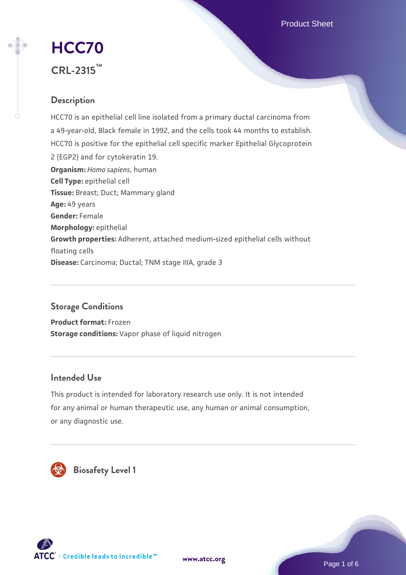Product Sheet

# **[HCC70](https://www.atcc.org/products/crl-2315) CRL-2315™**

# **Description**

HCC70 is an epithelial cell line isolated from a primary ductal carcinoma from a 49-year-old, Black female in 1992, and the cells took 44 months to establish. HCC70 is positive for the epithelial cell specific marker Epithelial Glycoprotein 2 (EGP2) and for cytokeratin 19. **Organism:** *Homo sapiens*, human **Cell Type:** epithelial cell **Tissue:** Breast; Duct; Mammary gland **Age:** 49 years **Gender:** Female **Morphology:** epithelial **Growth properties:** Adherent, attached medium-sized epithelial cells without floating cells **Disease:** Carcinoma; Ductal; TNM stage IIIA, grade 3

# **Storage Conditions**

**Product format:** Frozen **Storage conditions:** Vapor phase of liquid nitrogen

# **Intended Use**

This product is intended for laboratory research use only. It is not intended for any animal or human therapeutic use, any human or animal consumption, or any diagnostic use.



 **Biosafety Level 1**





Page 1 of 6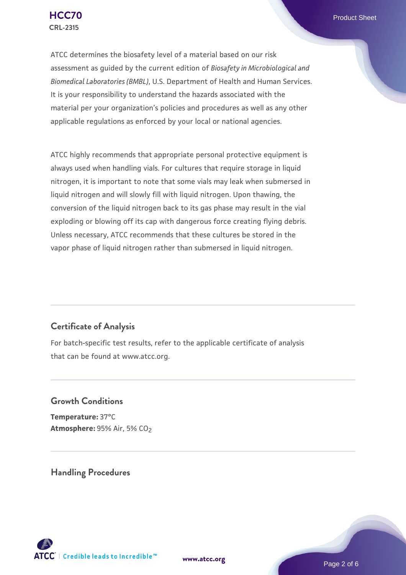ATCC determines the biosafety level of a material based on our risk assessment as guided by the current edition of *Biosafety in Microbiological and Biomedical Laboratories (BMBL)*, U.S. Department of Health and Human Services. It is your responsibility to understand the hazards associated with the material per your organization's policies and procedures as well as any other applicable regulations as enforced by your local or national agencies.

ATCC highly recommends that appropriate personal protective equipment is always used when handling vials. For cultures that require storage in liquid nitrogen, it is important to note that some vials may leak when submersed in liquid nitrogen and will slowly fill with liquid nitrogen. Upon thawing, the conversion of the liquid nitrogen back to its gas phase may result in the vial exploding or blowing off its cap with dangerous force creating flying debris. Unless necessary, ATCC recommends that these cultures be stored in the vapor phase of liquid nitrogen rather than submersed in liquid nitrogen.

# **Certificate of Analysis**

For batch-specific test results, refer to the applicable certificate of analysis that can be found at www.atcc.org.

# **Growth Conditions**

**Temperature:** 37°C **Atmosphere: 95% Air, 5% CO<sub>2</sub>** 

**Handling Procedures**





Page 2 of 6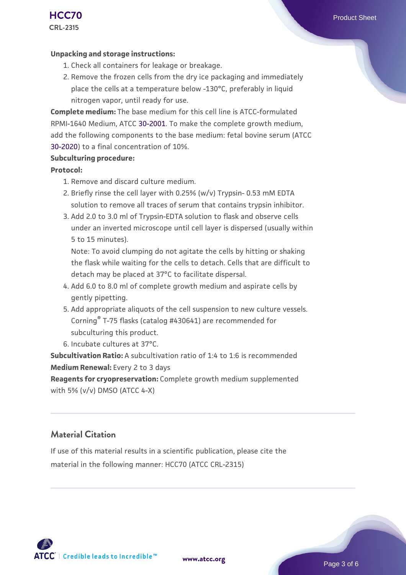#### **Unpacking and storage instructions:**

- 1. Check all containers for leakage or breakage.
- 2. Remove the frozen cells from the dry ice packaging and immediately place the cells at a temperature below -130°C, preferably in liquid nitrogen vapor, until ready for use.

**Complete medium:** The base medium for this cell line is ATCC-formulated RPMI-1640 Medium, ATCC [30-2001.](https://www.atcc.org/Products/All/30-2001.aspx) To make the complete growth medium, add the following components to the base medium: fetal bovine serum (ATCC [30-2020\)](https://www.atcc.org/Products/All/30-2020.aspx) to a final concentration of 10%.

#### **Subculturing procedure:**

#### **Protocol:**

- 1. Remove and discard culture medium.
- 2. Briefly rinse the cell layer with 0.25% (w/v) Trypsin- 0.53 mM EDTA solution to remove all traces of serum that contains trypsin inhibitor.
- 3. Add 2.0 to 3.0 ml of Trypsin-EDTA solution to flask and observe cells under an inverted microscope until cell layer is dispersed (usually within 5 to 15 minutes).

Note: To avoid clumping do not agitate the cells by hitting or shaking the flask while waiting for the cells to detach. Cells that are difficult to detach may be placed at 37°C to facilitate dispersal.

- Add 6.0 to 8.0 ml of complete growth medium and aspirate cells by 4. gently pipetting.
- 5. Add appropriate aliquots of the cell suspension to new culture vessels. Corning® T-75 flasks (catalog #430641) are recommended for subculturing this product.
- 6. Incubate cultures at 37°C.

**Subcultivation Ratio:** A subcultivation ratio of 1:4 to 1:6 is recommended **Medium Renewal:** Every 2 to 3 days

**Reagents for cryopreservation:** Complete growth medium supplemented with 5% (v/v) DMSO (ATCC 4-X)

## **Material Citation**

If use of this material results in a scientific publication, please cite the material in the following manner: HCC70 (ATCC CRL-2315)

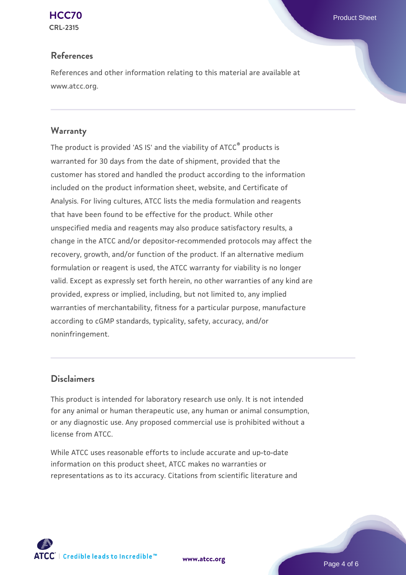

## **References**

References and other information relating to this material are available at www.atcc.org.

## **Warranty**

The product is provided 'AS IS' and the viability of ATCC® products is warranted for 30 days from the date of shipment, provided that the customer has stored and handled the product according to the information included on the product information sheet, website, and Certificate of Analysis. For living cultures, ATCC lists the media formulation and reagents that have been found to be effective for the product. While other unspecified media and reagents may also produce satisfactory results, a change in the ATCC and/or depositor-recommended protocols may affect the recovery, growth, and/or function of the product. If an alternative medium formulation or reagent is used, the ATCC warranty for viability is no longer valid. Except as expressly set forth herein, no other warranties of any kind are provided, express or implied, including, but not limited to, any implied warranties of merchantability, fitness for a particular purpose, manufacture according to cGMP standards, typicality, safety, accuracy, and/or noninfringement.

## **Disclaimers**

This product is intended for laboratory research use only. It is not intended for any animal or human therapeutic use, any human or animal consumption, or any diagnostic use. Any proposed commercial use is prohibited without a license from ATCC.

While ATCC uses reasonable efforts to include accurate and up-to-date information on this product sheet, ATCC makes no warranties or representations as to its accuracy. Citations from scientific literature and



**[www.atcc.org](http://www.atcc.org)**

Page 4 of 6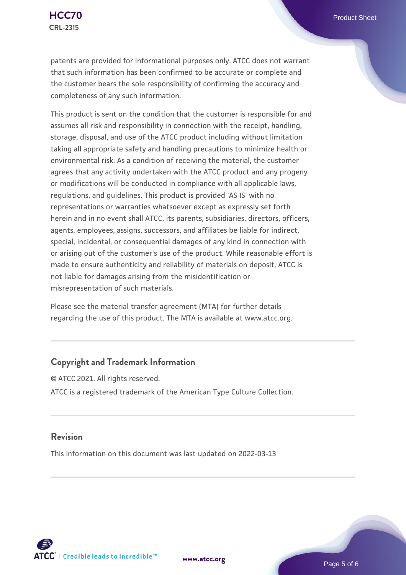patents are provided for informational purposes only. ATCC does not warrant that such information has been confirmed to be accurate or complete and the customer bears the sole responsibility of confirming the accuracy and completeness of any such information.

This product is sent on the condition that the customer is responsible for and assumes all risk and responsibility in connection with the receipt, handling, storage, disposal, and use of the ATCC product including without limitation taking all appropriate safety and handling precautions to minimize health or environmental risk. As a condition of receiving the material, the customer agrees that any activity undertaken with the ATCC product and any progeny or modifications will be conducted in compliance with all applicable laws, regulations, and guidelines. This product is provided 'AS IS' with no representations or warranties whatsoever except as expressly set forth herein and in no event shall ATCC, its parents, subsidiaries, directors, officers, agents, employees, assigns, successors, and affiliates be liable for indirect, special, incidental, or consequential damages of any kind in connection with or arising out of the customer's use of the product. While reasonable effort is made to ensure authenticity and reliability of materials on deposit, ATCC is not liable for damages arising from the misidentification or misrepresentation of such materials.

Please see the material transfer agreement (MTA) for further details regarding the use of this product. The MTA is available at www.atcc.org.

## **Copyright and Trademark Information**

© ATCC 2021. All rights reserved. ATCC is a registered trademark of the American Type Culture Collection.

## **Revision**

This information on this document was last updated on 2022-03-13